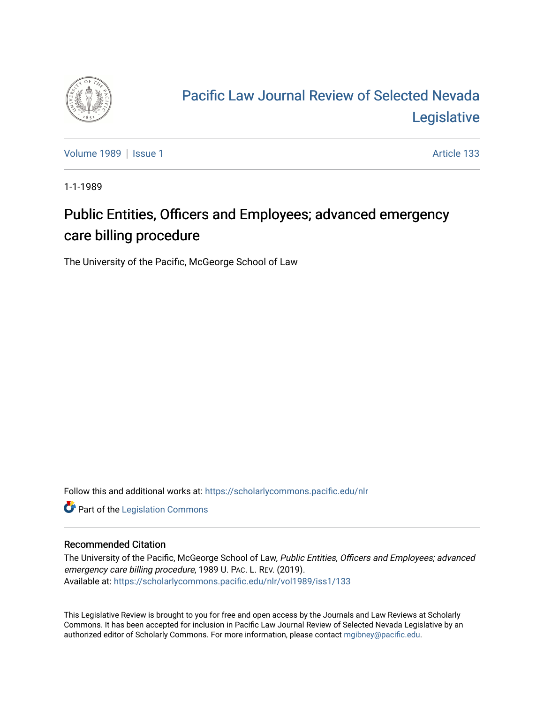

# [Pacific Law Journal Review of Selected Nevada](https://scholarlycommons.pacific.edu/nlr)  [Legislative](https://scholarlycommons.pacific.edu/nlr)

[Volume 1989](https://scholarlycommons.pacific.edu/nlr/vol1989) | [Issue 1](https://scholarlycommons.pacific.edu/nlr/vol1989/iss1) Article 133

1-1-1989

## Public Entities, Officers and Employees; advanced emergency care billing procedure

The University of the Pacific, McGeorge School of Law

Follow this and additional works at: [https://scholarlycommons.pacific.edu/nlr](https://scholarlycommons.pacific.edu/nlr?utm_source=scholarlycommons.pacific.edu%2Fnlr%2Fvol1989%2Fiss1%2F133&utm_medium=PDF&utm_campaign=PDFCoverPages) 

**Part of the [Legislation Commons](http://network.bepress.com/hgg/discipline/859?utm_source=scholarlycommons.pacific.edu%2Fnlr%2Fvol1989%2Fiss1%2F133&utm_medium=PDF&utm_campaign=PDFCoverPages)** 

#### Recommended Citation

The University of the Pacific, McGeorge School of Law, Public Entities, Officers and Employees; advanced emergency care billing procedure, 1989 U. PAC. L. REV. (2019). Available at: [https://scholarlycommons.pacific.edu/nlr/vol1989/iss1/133](https://scholarlycommons.pacific.edu/nlr/vol1989/iss1/133?utm_source=scholarlycommons.pacific.edu%2Fnlr%2Fvol1989%2Fiss1%2F133&utm_medium=PDF&utm_campaign=PDFCoverPages) 

This Legislative Review is brought to you for free and open access by the Journals and Law Reviews at Scholarly Commons. It has been accepted for inclusion in Pacific Law Journal Review of Selected Nevada Legislative by an authorized editor of Scholarly Commons. For more information, please contact [mgibney@pacific.edu](mailto:mgibney@pacific.edu).